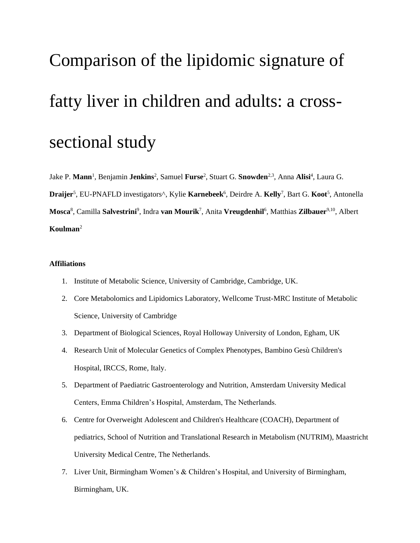# Comparison of the lipidomic signature of fatty liver in children and adults: a crosssectional study

Jake P. **Mann**<sup>1</sup> , Benjamin **Jenkins**<sup>2</sup> , Samuel **Furse**<sup>2</sup> , Stuart G. **Snowden**2,3, Anna **Alisi**<sup>4</sup> , Laura G. Draijer<sup>5</sup>, EU-PNAFLD investigators<sup>^</sup>, Kylie **Karnebeek**<sup>6</sup>, Deirdre A. **Kelly<sup>7</sup>, Bart G. Koot<sup>5</sup>, Antonella Mosca**<sup>8</sup> , Camilla **Salvestrini**<sup>9</sup> , Indra **van Mourik**<sup>7</sup> , Anita **Vreugdenhil**<sup>6</sup> , Matthias **Zilbauer**9,10, Albert **Koulman**<sup>2</sup>

### **Affiliations**

- 1. Institute of Metabolic Science, University of Cambridge, Cambridge, UK.
- 2. Core Metabolomics and Lipidomics Laboratory, Wellcome Trust-MRC Institute of Metabolic Science, University of Cambridge
- 3. Department of Biological Sciences, Royal Holloway University of London, Egham, UK
- 4. Research Unit of Molecular Genetics of Complex Phenotypes, Bambino Gesù Children's Hospital, IRCCS, Rome, Italy.
- 5. Department of Paediatric Gastroenterology and Nutrition, Amsterdam University Medical Centers, Emma Children's Hospital, Amsterdam, The Netherlands.
- 6. Centre for Overweight Adolescent and Children's Healthcare (COACH), Department of pediatrics, School of Nutrition and Translational Research in Metabolism (NUTRIM), Maastricht University Medical Centre, The Netherlands.
- 7. Liver Unit, Birmingham Women's & Children's Hospital, and University of Birmingham, Birmingham, UK.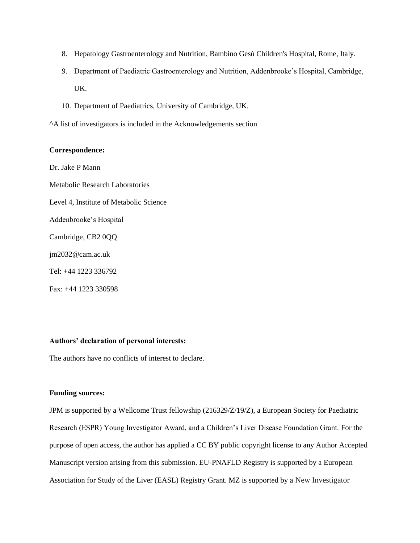- 8. Hepatology Gastroenterology and Nutrition, Bambino Gesù Children's Hospital, Rome, Italy.
- 9. Department of Paediatric Gastroenterology and Nutrition, Addenbrooke's Hospital, Cambridge, UK.
- 10. Department of Paediatrics, University of Cambridge, UK.
- ^A list of investigators is included in the Acknowledgements section

#### **Correspondence:**

Dr. Jake P Mann Metabolic Research Laboratories Level 4, Institute of Metabolic Science Addenbrooke's Hospital Cambridge, CB2 0QQ jm2032@cam.ac.uk Tel: +44 1223 336792 Fax: +44 1223 330598

### **Authors' declaration of personal interests:**

The authors have no conflicts of interest to declare.

#### **Funding sources:**

JPM is supported by a Wellcome Trust fellowship (216329/Z/19/Z), a European Society for Paediatric Research (ESPR) Young Investigator Award, and a Children's Liver Disease Foundation Grant. For the purpose of open access, the author has applied a CC BY public copyright license to any Author Accepted Manuscript version arising from this submission. EU-PNAFLD Registry is supported by a European Association for Study of the Liver (EASL) Registry Grant. MZ is supported by a New Investigator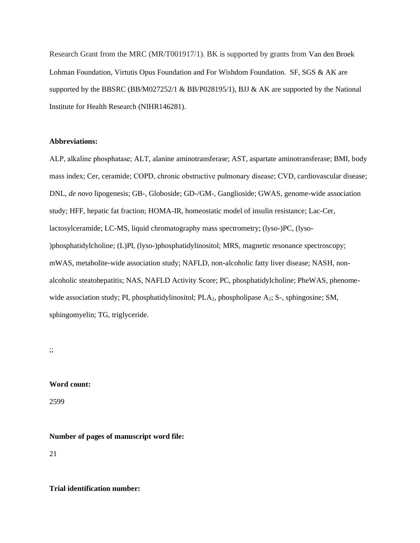Research Grant from the MRC (MR/T001917/1). BK is supported by grants from Van den Broek Lohman Foundation, Virtutis Opus Foundation and For Wishdom Foundation. SF, SGS & AK are supported by the BBSRC (BB/M027252/1 & BB/P028195/1), BJJ & AK are supported by the National Institute for Health Research (NIHR146281).

#### **Abbreviations:**

ALP, alkaline phosphatase; ALT, alanine aminotransferase; AST, aspartate aminotransferase; BMI, body mass index; Cer, ceramide; COPD, chronic obstructive pulmonary disease; CVD, cardiovascular disease; DNL, *de novo* lipogenesis; GB-, Globoside; GD-/GM-, Ganglioside; GWAS, genome-wide association study; HFF, hepatic fat fraction; HOMA-IR, homeostatic model of insulin resistance; Lac-Cer, lactosylceramide; LC-MS, liquid chromatography mass spectrometry; (lyso-)PC, (lyso- )phosphatidylcholine; (L)PI, (lyso-)phosphatidylinositol; MRS, magnetic resonance spectroscopy; mWAS, metabolite-wide association study; NAFLD, non-alcoholic fatty liver disease; NASH, nonalcoholic steatohepatitis; NAS, NAFLD Activity Score; PC, phosphatidylcholine; PheWAS, phenomewide association study; PI, phosphatidylinositol; PLA<sub>2</sub>, phospholipase A<sub>2</sub>; S-, sphingosine; SM, sphingomyelin; TG, triglyceride.

;;

### **Word count:**

2599

**Number of pages of manuscript word file:**

21

**Trial identification number:**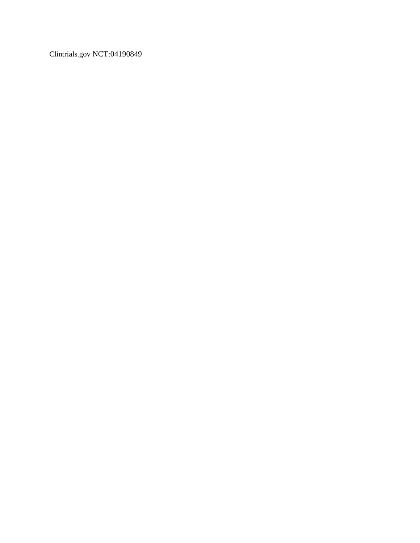Clintrials.gov NCT:04190849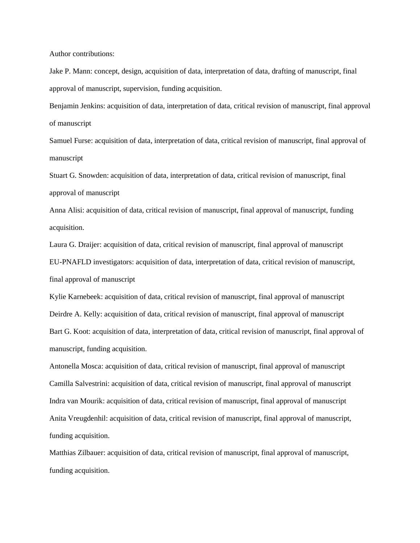Author contributions:

Jake P. Mann: concept, design, acquisition of data, interpretation of data, drafting of manuscript, final approval of manuscript, supervision, funding acquisition.

Benjamin Jenkins: acquisition of data, interpretation of data, critical revision of manuscript, final approval of manuscript

Samuel Furse: acquisition of data, interpretation of data, critical revision of manuscript, final approval of manuscript

Stuart G. Snowden: acquisition of data, interpretation of data, critical revision of manuscript, final approval of manuscript

Anna Alisi: acquisition of data, critical revision of manuscript, final approval of manuscript, funding acquisition.

Laura G. Draijer: acquisition of data, critical revision of manuscript, final approval of manuscript EU-PNAFLD investigators: acquisition of data, interpretation of data, critical revision of manuscript, final approval of manuscript

Kylie Karnebeek: acquisition of data, critical revision of manuscript, final approval of manuscript Deirdre A. Kelly: acquisition of data, critical revision of manuscript, final approval of manuscript Bart G. Koot: acquisition of data, interpretation of data, critical revision of manuscript, final approval of manuscript, funding acquisition.

Antonella Mosca: acquisition of data, critical revision of manuscript, final approval of manuscript Camilla Salvestrini: acquisition of data, critical revision of manuscript, final approval of manuscript Indra van Mourik: acquisition of data, critical revision of manuscript, final approval of manuscript Anita Vreugdenhil: acquisition of data, critical revision of manuscript, final approval of manuscript, funding acquisition.

Matthias Zilbauer: acquisition of data, critical revision of manuscript, final approval of manuscript, funding acquisition.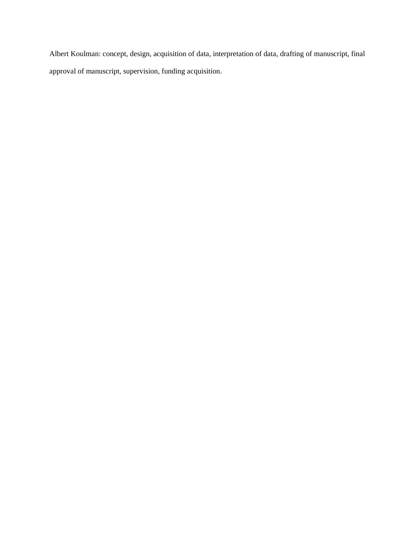Albert Koulman: concept, design, acquisition of data, interpretation of data, drafting of manuscript, final approval of manuscript, supervision, funding acquisition.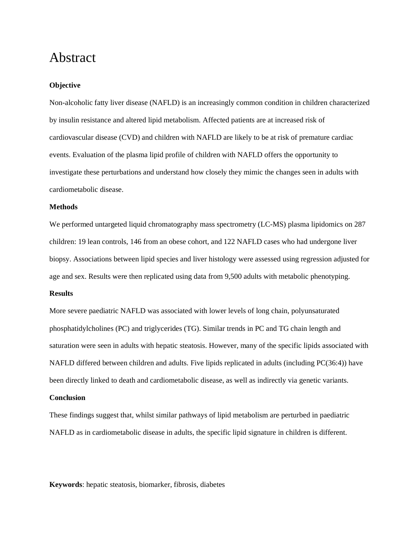# Abstract

#### **Objective**

Non-alcoholic fatty liver disease (NAFLD) is an increasingly common condition in children characterized by insulin resistance and altered lipid metabolism. Affected patients are at increased risk of cardiovascular disease (CVD) and children with NAFLD are likely to be at risk of premature cardiac events. Evaluation of the plasma lipid profile of children with NAFLD offers the opportunity to investigate these perturbations and understand how closely they mimic the changes seen in adults with cardiometabolic disease.

#### **Methods**

We performed untargeted liquid chromatography mass spectrometry (LC-MS) plasma lipidomics on 287 children: 19 lean controls, 146 from an obese cohort, and 122 NAFLD cases who had undergone liver biopsy. Associations between lipid species and liver histology were assessed using regression adjusted for age and sex. Results were then replicated using data from 9,500 adults with metabolic phenotyping.

### **Results**

More severe paediatric NAFLD was associated with lower levels of long chain, polyunsaturated phosphatidylcholines (PC) and triglycerides (TG). Similar trends in PC and TG chain length and saturation were seen in adults with hepatic steatosis. However, many of the specific lipids associated with NAFLD differed between children and adults. Five lipids replicated in adults (including PC(36:4)) have been directly linked to death and cardiometabolic disease, as well as indirectly via genetic variants.

### **Conclusion**

These findings suggest that, whilst similar pathways of lipid metabolism are perturbed in paediatric NAFLD as in cardiometabolic disease in adults, the specific lipid signature in children is different.

**Keywords**: hepatic steatosis, biomarker, fibrosis, diabetes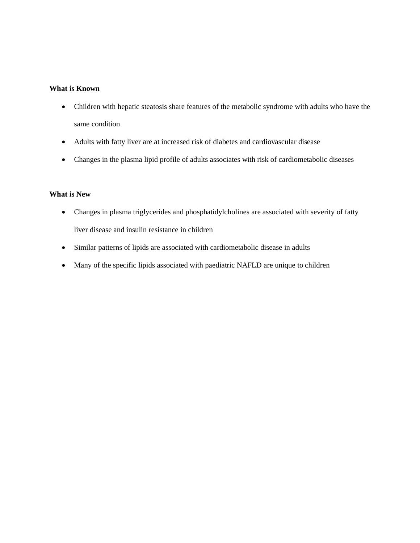### **What is Known**

- Children with hepatic steatosis share features of the metabolic syndrome with adults who have the same condition
- Adults with fatty liver are at increased risk of diabetes and cardiovascular disease
- Changes in the plasma lipid profile of adults associates with risk of cardiometabolic diseases

### **What is New**

- Changes in plasma triglycerides and phosphatidylcholines are associated with severity of fatty liver disease and insulin resistance in children
- Similar patterns of lipids are associated with cardiometabolic disease in adults
- Many of the specific lipids associated with paediatric NAFLD are unique to children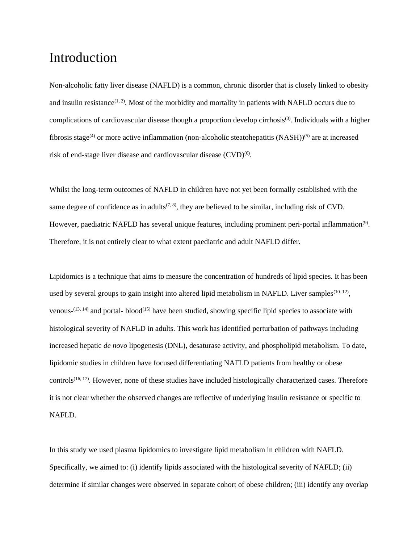### Introduction

Non-alcoholic fatty liver disease (NAFLD) is a common, chronic disorder that is closely linked to obesity and insulin resistance<sup> $(1, 2)$ </sup>. Most of the morbidity and mortality in patients with NAFLD occurs due to complications of cardiovascular disease though a proportion develop cirrhosis<sup>(3)</sup>. Individuals with a higher fibrosis stage<sup>(4)</sup> or more active inflammation (non-alcoholic steatohepatitis  $(NASH))^{(5)}$  are at increased risk of end-stage liver disease and cardiovascular disease (CVD)<sup>(6)</sup>.

Whilst the long-term outcomes of NAFLD in children have not yet been formally established with the same degree of confidence as in adults<sup> $(7, 8)$ </sup>, they are believed to be similar, including risk of CVD. However, paediatric NAFLD has several unique features, including prominent peri-portal inflammation<sup>(9)</sup>. Therefore, it is not entirely clear to what extent paediatric and adult NAFLD differ.

Lipidomics is a technique that aims to measure the concentration of hundreds of lipid species. It has been used by several groups to gain insight into altered lipid metabolism in NAFLD. Liver samples $(10-12)$ , venous- $^{(13, 14)}$  and portal-blood<sup> $^{(15)}$ </sup> have been studied, showing specific lipid species to associate with histological severity of NAFLD in adults. This work has identified perturbation of pathways including increased hepatic *de novo* lipogenesis (DNL), desaturase activity, and phospholipid metabolism. To date, lipidomic studies in children have focused differentiating NAFLD patients from healthy or obese controls<sup>(16, 17)</sup>. However, none of these studies have included histologically characterized cases. Therefore it is not clear whether the observed changes are reflective of underlying insulin resistance or specific to NAFLD.

In this study we used plasma lipidomics to investigate lipid metabolism in children with NAFLD. Specifically, we aimed to: (i) identify lipids associated with the histological severity of NAFLD; (ii) determine if similar changes were observed in separate cohort of obese children; (iii) identify any overlap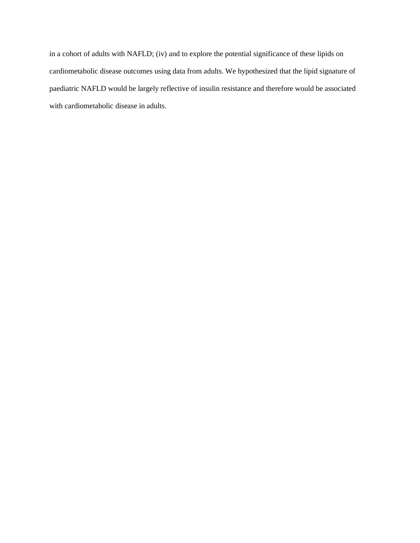in a cohort of adults with NAFLD; (iv) and to explore the potential significance of these lipids on cardiometabolic disease outcomes using data from adults. We hypothesized that the lipid signature of paediatric NAFLD would be largely reflective of insulin resistance and therefore would be associated with cardiometabolic disease in adults.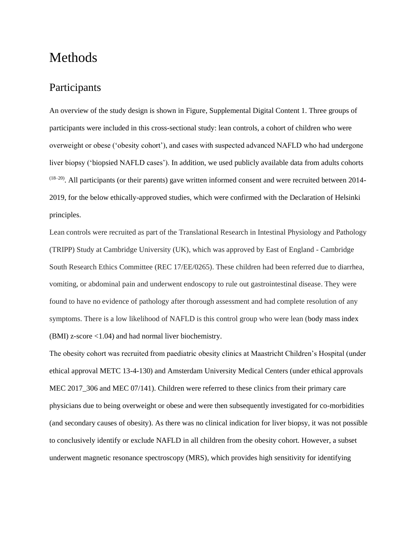# Methods

### Participants

An overview of the study design is shown in Figure, Supplemental Digital Content 1. Three groups of participants were included in this cross-sectional study: lean controls, a cohort of children who were overweight or obese ('obesity cohort'), and cases with suspected advanced NAFLD who had undergone liver biopsy ('biopsied NAFLD cases'). In addition, we used publicly available data from adults cohorts  $(18-20)$ . All participants (or their parents) gave written informed consent and were recruited between 2014-2019, for the below ethically-approved studies, which were confirmed with the Declaration of Helsinki principles.

Lean controls were recruited as part of the Translational Research in Intestinal Physiology and Pathology (TRIPP) Study at Cambridge University (UK), which was approved by East of England - Cambridge South Research Ethics Committee (REC 17/EE/0265). These children had been referred due to diarrhea, vomiting, or abdominal pain and underwent endoscopy to rule out gastrointestinal disease. They were found to have no evidence of pathology after thorough assessment and had complete resolution of any symptoms. There is a low likelihood of NAFLD is this control group who were lean (body mass index (BMI) z-score <1.04) and had normal liver biochemistry.

The obesity cohort was recruited from paediatric obesity clinics at Maastricht Children's Hospital (under ethical approval METC 13-4-130) and Amsterdam University Medical Centers (under ethical approvals MEC 2017\_306 and MEC 07/141). Children were referred to these clinics from their primary care physicians due to being overweight or obese and were then subsequently investigated for co-morbidities (and secondary causes of obesity). As there was no clinical indication for liver biopsy, it was not possible to conclusively identify or exclude NAFLD in all children from the obesity cohort. However, a subset underwent magnetic resonance spectroscopy (MRS), which provides high sensitivity for identifying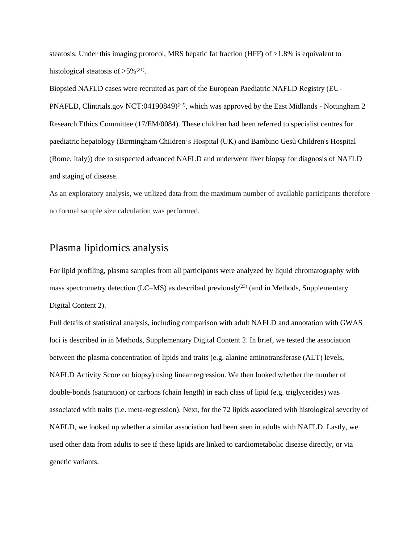steatosis. Under this imaging protocol, MRS hepatic fat fraction (HFF) of >1.8% is equivalent to histological steatosis of  $>5\%^{(21)}$ .

Biopsied NAFLD cases were recruited as part of the European Paediatric NAFLD Registry (EU-PNAFLD, Clintrials.gov NCT:04190849)<sup>(22)</sup>, which was approved by the East Midlands - Nottingham 2 Research Ethics Committee (17/EM/0084). These children had been referred to specialist centres for paediatric hepatology (Birmingham Children's Hospital (UK) and Bambino Gesù Children's Hospital (Rome, Italy)) due to suspected advanced NAFLD and underwent liver biopsy for diagnosis of NAFLD and staging of disease.

As an exploratory analysis, we utilized data from the maximum number of available participants therefore no formal sample size calculation was performed.

### Plasma lipidomics analysis

For lipid profiling, plasma samples from all participants were analyzed by liquid chromatography with mass spectrometry detection (LC–MS) as described previously<sup>(23)</sup> (and in Methods, Supplementary Digital Content 2).

Full details of statistical analysis, including comparison with adult NAFLD and annotation with GWAS loci is described in in Methods, Supplementary Digital Content 2. In brief, we tested the association between the plasma concentration of lipids and traits (e.g. alanine aminotransferase (ALT) levels, NAFLD Activity Score on biopsy) using linear regression. We then looked whether the number of double-bonds (saturation) or carbons (chain length) in each class of lipid (e.g. triglycerides) was associated with traits (i.e. meta-regression). Next, for the 72 lipids associated with histological severity of NAFLD, we looked up whether a similar association had been seen in adults with NAFLD. Lastly, we used other data from adults to see if these lipids are linked to cardiometabolic disease directly, or via genetic variants.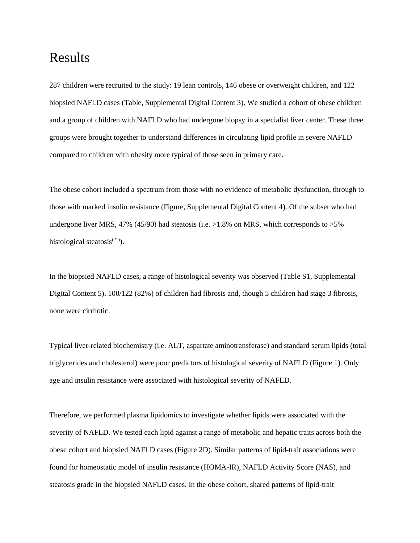# Results

287 children were recruited to the study: 19 lean controls, 146 obese or overweight children, and 122 biopsied NAFLD cases (Table, Supplemental Digital Content 3). We studied a cohort of obese children and a group of children with NAFLD who had undergone biopsy in a specialist liver center. These three groups were brought together to understand differences in circulating lipid profile in severe NAFLD compared to children with obesity more typical of those seen in primary care.

The obese cohort included a spectrum from those with no evidence of metabolic dysfunction, through to those with marked insulin resistance (Figure, Supplemental Digital Content 4). Of the subset who had undergone liver MRS, 47% (45/90) had steatosis (i.e.  $>1.8\%$  on MRS, which corresponds to  $>5\%$ histological steatosis $(21)$ ).

In the biopsied NAFLD cases, a range of histological severity was observed (Table S1, Supplemental Digital Content 5). 100/122 (82%) of children had fibrosis and, though 5 children had stage 3 fibrosis, none were cirrhotic.

Typical liver-related biochemistry (i.e. ALT, aspartate aminotransferase) and standard serum lipids (total triglycerides and cholesterol) were poor predictors of histological severity of NAFLD (Figure 1). Only age and insulin resistance were associated with histological severity of NAFLD.

Therefore, we performed plasma lipidomics to investigate whether lipids were associated with the severity of NAFLD. We tested each lipid against a range of metabolic and hepatic traits across both the obese cohort and biopsied NAFLD cases (Figure 2D). Similar patterns of lipid-trait associations were found for homeostatic model of insulin resistance (HOMA-IR), NAFLD Activity Score (NAS), and steatosis grade in the biopsied NAFLD cases. In the obese cohort, shared patterns of lipid-trait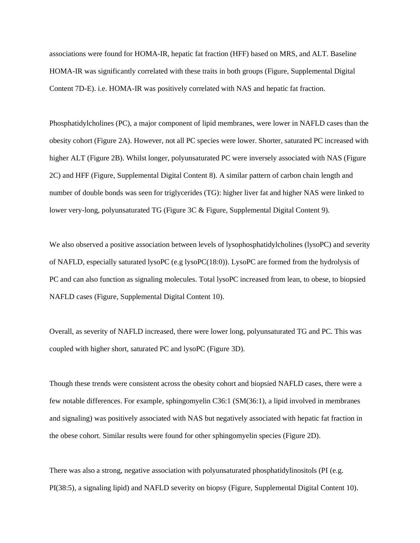associations were found for HOMA-IR, hepatic fat fraction (HFF) based on MRS, and ALT. Baseline HOMA-IR was significantly correlated with these traits in both groups (Figure, Supplemental Digital Content 7D-E). i.e. HOMA-IR was positively correlated with NAS and hepatic fat fraction.

Phosphatidylcholines (PC), a major component of lipid membranes, were lower in NAFLD cases than the obesity cohort (Figure 2A). However, not all PC species were lower. Shorter, saturated PC increased with higher ALT (Figure 2B). Whilst longer, polyunsaturated PC were inversely associated with NAS (Figure 2C) and HFF (Figure, Supplemental Digital Content 8). A similar pattern of carbon chain length and number of double bonds was seen for triglycerides (TG): higher liver fat and higher NAS were linked to lower very-long, polyunsaturated TG (Figure 3C & Figure, Supplemental Digital Content 9).

We also observed a positive association between levels of lysophosphatidylcholines (lysoPC) and severity of NAFLD, especially saturated lysoPC (e.g lysoPC(18:0)). LysoPC are formed from the hydrolysis of PC and can also function as signaling molecules. Total lysoPC increased from lean, to obese, to biopsied NAFLD cases (Figure, Supplemental Digital Content 10).

Overall, as severity of NAFLD increased, there were lower long, polyunsaturated TG and PC. This was coupled with higher short, saturated PC and lysoPC (Figure 3D).

Though these trends were consistent across the obesity cohort and biopsied NAFLD cases, there were a few notable differences. For example, sphingomyelin C36:1 (SM(36:1), a lipid involved in membranes and signaling) was positively associated with NAS but negatively associated with hepatic fat fraction in the obese cohort. Similar results were found for other sphingomyelin species (Figure 2D).

There was also a strong, negative association with polyunsaturated phosphatidylinositols (PI (e.g. PI(38:5), a signaling lipid) and NAFLD severity on biopsy (Figure, Supplemental Digital Content 10).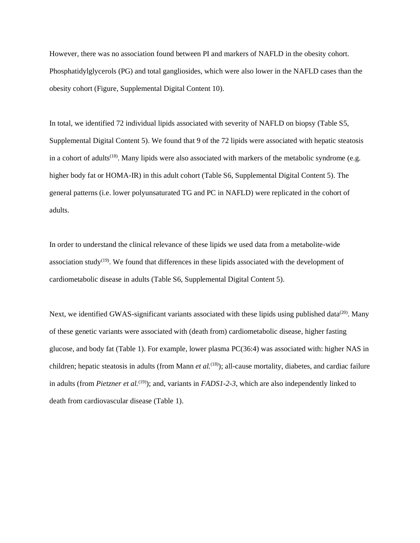However, there was no association found between PI and markers of NAFLD in the obesity cohort. Phosphatidylglycerols (PG) and total gangliosides, which were also lower in the NAFLD cases than the obesity cohort (Figure, Supplemental Digital Content 10).

In total, we identified 72 individual lipids associated with severity of NAFLD on biopsy (Table S5, Supplemental Digital Content 5). We found that 9 of the 72 lipids were associated with hepatic steatosis in a cohort of adults<sup>(18)</sup>. Many lipids were also associated with markers of the metabolic syndrome (e.g. higher body fat or HOMA-IR) in this adult cohort (Table S6, Supplemental Digital Content 5). The general patterns (i.e. lower polyunsaturated TG and PC in NAFLD) were replicated in the cohort of adults.

In order to understand the clinical relevance of these lipids we used data from a metabolite-wide association study<sup> $(19)$ </sup>. We found that differences in these lipids associated with the development of cardiometabolic disease in adults (Table S6, Supplemental Digital Content 5).

Next, we identified GWAS-significant variants associated with these lipids using published data<sup>(20)</sup>. Many of these genetic variants were associated with (death from) cardiometabolic disease, higher fasting glucose, and body fat (Table 1). For example, lower plasma PC(36:4) was associated with: higher NAS in children; hepatic steatosis in adults (from Mann *et al.*<sup>(18)</sup>); all-cause mortality, diabetes, and cardiac failure in adults (from *Pietzner et al.*<sup>(19)</sup>); and, variants in *FADS1-2-3*, which are also independently linked to death from cardiovascular disease (Table 1).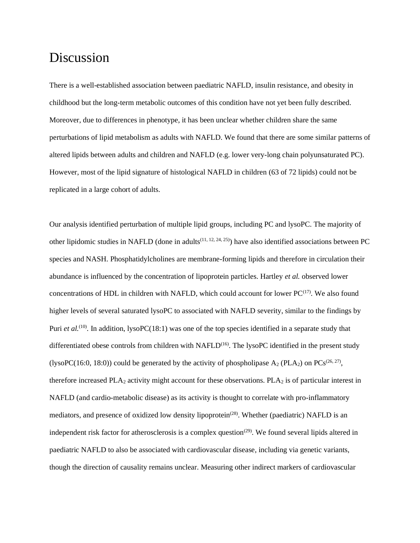### Discussion

There is a well-established association between paediatric NAFLD, insulin resistance, and obesity in childhood but the long-term metabolic outcomes of this condition have not yet been fully described. Moreover, due to differences in phenotype, it has been unclear whether children share the same perturbations of lipid metabolism as adults with NAFLD. We found that there are some similar patterns of altered lipids between adults and children and NAFLD (e.g. lower very-long chain polyunsaturated PC). However, most of the lipid signature of histological NAFLD in children (63 of 72 lipids) could not be replicated in a large cohort of adults.

Our analysis identified perturbation of multiple lipid groups, including PC and lysoPC. The majority of other lipidomic studies in NAFLD (done in adults<sup> $(11, 12, 24, 25)$ </sup>) have also identified associations between PC species and NASH. Phosphatidylcholines are membrane-forming lipids and therefore in circulation their abundance is influenced by the concentration of lipoprotein particles. Hartley *et al.* observed lower concentrations of HDL in children with NAFLD, which could account for lower  $PC^{(17)}$ . We also found higher levels of several saturated lysoPC to associated with NAFLD severity, similar to the findings by Puri *et al.*<sup>(10)</sup>. In addition, lysoPC(18:1) was one of the top species identified in a separate study that differentiated obese controls from children with NAFLD<sup>(16)</sup>. The lysoPC identified in the present study (lysoPC(16:0, 18:0)) could be generated by the activity of phospholipase  $A_2$  (PLA<sub>2</sub>) on PCs<sup>(26, 27)</sup>, therefore increased  $PLA_2$  activity might account for these observations.  $PLA_2$  is of particular interest in NAFLD (and cardio-metabolic disease) as its activity is thought to correlate with pro-inflammatory mediators, and presence of oxidized low density lipoprotein<sup>(28)</sup>. Whether (paediatric) NAFLD is an independent risk factor for atherosclerosis is a complex question<sup> $(29)$ </sup>. We found several lipids altered in paediatric NAFLD to also be associated with cardiovascular disease, including via genetic variants, though the direction of causality remains unclear. Measuring other indirect markers of cardiovascular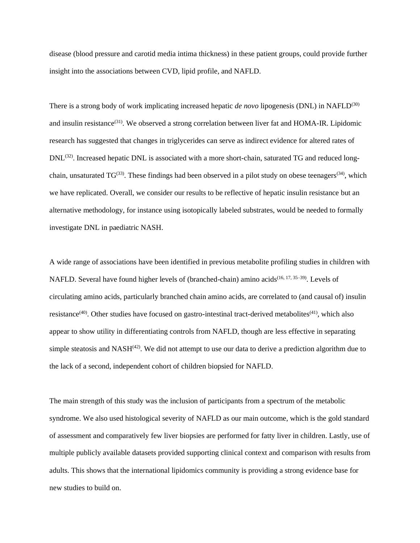disease (blood pressure and carotid media intima thickness) in these patient groups, could provide further insight into the associations between CVD, lipid profile, and NAFLD.

There is a strong body of work implicating increased hepatic *de novo* lipogenesis (DNL) in NAFLD(30) and insulin resistance<sup>(31)</sup>. We observed a strong correlation between liver fat and HOMA-IR. Lipidomic research has suggested that changes in triglycerides can serve as indirect evidence for altered rates of DNL<sup>(32)</sup>. Increased hepatic DNL is associated with a more short-chain, saturated TG and reduced longchain, unsaturated  $TG^{(33)}$ . These findings had been observed in a pilot study on obese teenagers<sup>(34)</sup>, which we have replicated. Overall, we consider our results to be reflective of hepatic insulin resistance but an alternative methodology, for instance using isotopically labeled substrates, would be needed to formally investigate DNL in paediatric NASH.

A wide range of associations have been identified in previous metabolite profiling studies in children with NAFLD. Several have found higher levels of (branched-chain) amino acids<sup>(16, 17, 35–39)</sup>. Levels of circulating amino acids, particularly branched chain amino acids, are correlated to (and causal of) insulin resistance<sup>(40)</sup>. Other studies have focused on gastro-intestinal tract-derived metabolites<sup>(41)</sup>, which also appear to show utility in differentiating controls from NAFLD, though are less effective in separating simple steatosis and  $NASH<sup>(42)</sup>$ . We did not attempt to use our data to derive a prediction algorithm due to the lack of a second, independent cohort of children biopsied for NAFLD.

The main strength of this study was the inclusion of participants from a spectrum of the metabolic syndrome. We also used histological severity of NAFLD as our main outcome, which is the gold standard of assessment and comparatively few liver biopsies are performed for fatty liver in children. Lastly, use of multiple publicly available datasets provided supporting clinical context and comparison with results from adults. This shows that the international lipidomics community is providing a strong evidence base for new studies to build on.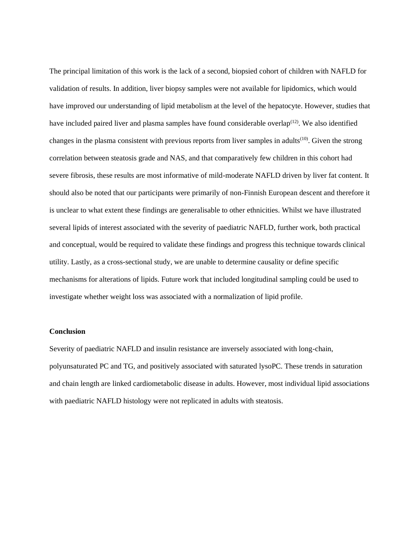The principal limitation of this work is the lack of a second, biopsied cohort of children with NAFLD for validation of results. In addition, liver biopsy samples were not available for lipidomics, which would have improved our understanding of lipid metabolism at the level of the hepatocyte. However, studies that have included paired liver and plasma samples have found considerable overlap $(12)$ . We also identified changes in the plasma consistent with previous reports from liver samples in adults<sup> $(10)$ </sup>. Given the strong correlation between steatosis grade and NAS, and that comparatively few children in this cohort had severe fibrosis, these results are most informative of mild-moderate NAFLD driven by liver fat content. It should also be noted that our participants were primarily of non-Finnish European descent and therefore it is unclear to what extent these findings are generalisable to other ethnicities. Whilst we have illustrated several lipids of interest associated with the severity of paediatric NAFLD, further work, both practical and conceptual, would be required to validate these findings and progress this technique towards clinical utility. Lastly, as a cross-sectional study, we are unable to determine causality or define specific mechanisms for alterations of lipids. Future work that included longitudinal sampling could be used to investigate whether weight loss was associated with a normalization of lipid profile.

### **Conclusion**

Severity of paediatric NAFLD and insulin resistance are inversely associated with long-chain, polyunsaturated PC and TG, and positively associated with saturated lysoPC. These trends in saturation and chain length are linked cardiometabolic disease in adults. However, most individual lipid associations with paediatric NAFLD histology were not replicated in adults with steatosis.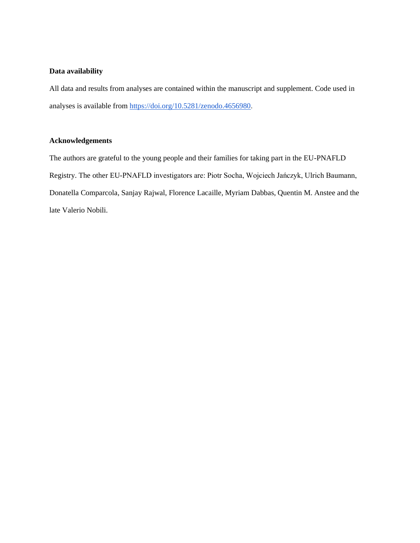### **Data availability**

All data and results from analyses are contained within the manuscript and supplement. Code used in analyses is available fro[m https://doi.org/10.5281/zenodo.4656980.](https://doi.org/10.5281/zenodo.4656980)

### **Acknowledgements**

The authors are grateful to the young people and their families for taking part in the EU-PNAFLD Registry. The other EU-PNAFLD investigators are: Piotr Socha, Wojciech Jańczyk, Ulrich Baumann, Donatella Comparcola, Sanjay Rajwal, Florence Lacaille, Myriam Dabbas, Quentin M. Anstee and the late Valerio Nobili.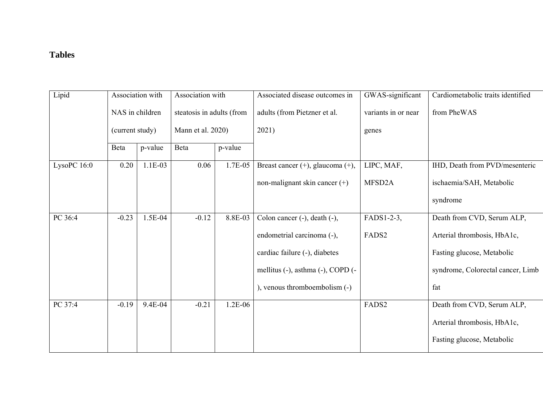### **Tables**

| Lipid         | Association with<br>NAS in children<br>(current study) |           | Association with<br>steatosis in adults (from<br>Mann et al. 2020) |           | Associated disease outcomes in    | GWAS-significant    | Cardiometabolic traits identified |
|---------------|--------------------------------------------------------|-----------|--------------------------------------------------------------------|-----------|-----------------------------------|---------------------|-----------------------------------|
|               |                                                        |           |                                                                    |           | adults (from Pietzner et al.      | variants in or near | from PheWAS                       |
|               |                                                        |           |                                                                    |           | 2021)                             | genes               |                                   |
|               | Beta                                                   | p-value   | Beta                                                               | p-value   |                                   |                     |                                   |
| LysoPC $16:0$ | 0.20                                                   | $1.1E-03$ | 0.06                                                               | 1.7E-05   | Breast cancer (+), glaucoma (+),  | LIPC, MAF,          | IHD, Death from PVD/mesenteric    |
|               |                                                        |           |                                                                    |           | non-malignant skin cancer (+)     | MFSD <sub>2</sub> A | ischaemia/SAH, Metabolic          |
|               |                                                        |           |                                                                    |           |                                   |                     | syndrome                          |
| PC 36:4       | $-0.23$                                                | 1.5E-04   | $-0.12$                                                            | 8.8E-03   | Colon cancer (-), death (-),      | FADS1-2-3,          | Death from CVD, Serum ALP,        |
|               |                                                        |           |                                                                    |           | endometrial carcinoma (-),        | FADS2               | Arterial thrombosis, HbA1c,       |
|               |                                                        |           |                                                                    |           | cardiac failure (-), diabetes     |                     | Fasting glucose, Metabolic        |
|               |                                                        |           |                                                                    |           | mellitus (-), asthma (-), COPD (- |                     | syndrome, Colorectal cancer, Limb |
|               |                                                        |           |                                                                    |           | ), venous thromboembolism (-)     |                     | fat                               |
| PC 37:4       | $-0.19$                                                | 9.4E-04   | $-0.21$                                                            | $1.2E-06$ |                                   | FADS2               | Death from CVD, Serum ALP,        |
|               |                                                        |           |                                                                    |           |                                   |                     | Arterial thrombosis, HbA1c,       |
|               |                                                        |           |                                                                    |           |                                   |                     | Fasting glucose, Metabolic        |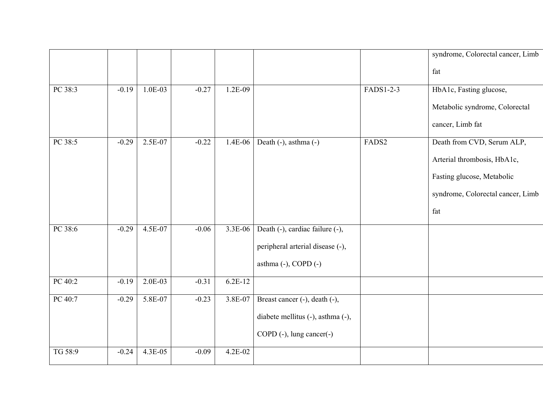|         |         |           |         |           |                                   |           | syndrome, Colorectal cancer, Limb |
|---------|---------|-----------|---------|-----------|-----------------------------------|-----------|-----------------------------------|
|         |         |           |         |           |                                   |           | fat                               |
| PC 38:3 | $-0.19$ | $1.0E-03$ | $-0.27$ | $1.2E-09$ |                                   | FADS1-2-3 | HbA1c, Fasting glucose,           |
|         |         |           |         |           |                                   |           | Metabolic syndrome, Colorectal    |
|         |         |           |         |           |                                   |           | cancer, Limb fat                  |
| PC 38:5 | $-0.29$ | 2.5E-07   | $-0.22$ | 1.4E-06   | Death (-), asthma (-)             | FADS2     | Death from CVD, Serum ALP,        |
|         |         |           |         |           |                                   |           | Arterial thrombosis, HbA1c,       |
|         |         |           |         |           |                                   |           | Fasting glucose, Metabolic        |
|         |         |           |         |           |                                   |           | syndrome, Colorectal cancer, Limb |
|         |         |           |         |           |                                   |           | fat                               |
| PC 38:6 | $-0.29$ | 4.5E-07   | $-0.06$ | 3.3E-06   | Death (-), cardiac failure (-),   |           |                                   |
|         |         |           |         |           | peripheral arterial disease (-),  |           |                                   |
|         |         |           |         |           | asthma $(-)$ , COPD $(-)$         |           |                                   |
| PC 40:2 | $-0.19$ | $2.0E-03$ | $-0.31$ | $6.2E-12$ |                                   |           |                                   |
| PC 40:7 | $-0.29$ | 5.8E-07   | $-0.23$ | 3.8E-07   | Breast cancer (-), death (-),     |           |                                   |
|         |         |           |         |           | diabete mellitus (-), asthma (-), |           |                                   |
|         |         |           |         |           | COPD (-), lung cancer(-)          |           |                                   |
| TG 58:9 | $-0.24$ | 4.3E-05   | $-0.09$ | 4.2E-02   |                                   |           |                                   |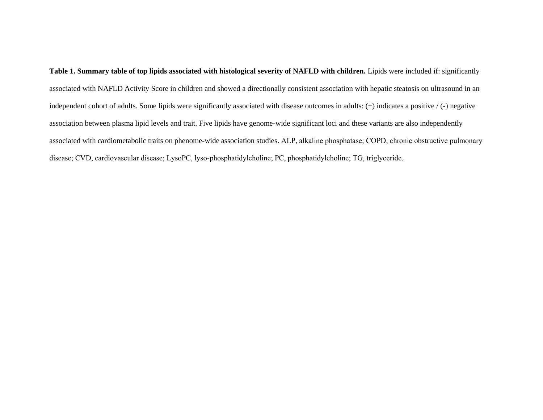**Table 1. Summary table of top lipids associated with histological severity of NAFLD with children.** Lipids were included if: significantly associated with NAFLD Activity Score in children and showed a directionally consistent association with hepatic steatosis on ultrasound in an independent cohort of adults. Some lipids were significantly associated with disease outcomes in adults: (+) indicates a positive / (-) negative association between plasma lipid levels and trait. Five lipids have genome-wide significant loci and these variants are also independently associated with cardiometabolic traits on phenome-wide association studies. ALP, alkaline phosphatase; COPD, chronic obstructive pulmonary disease; CVD, cardiovascular disease; LysoPC, lyso-phosphatidylcholine; PC, phosphatidylcholine; TG, triglyceride.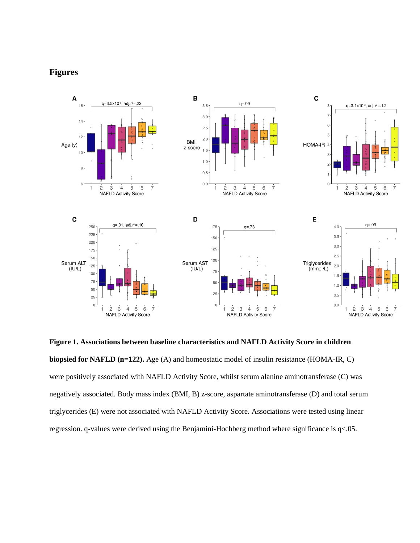### **Figures**



**Figure 1. Associations between baseline characteristics and NAFLD Activity Score in children biopsied for NAFLD (n=122).** Age (A) and homeostatic model of insulin resistance (HOMA-IR, C) were positively associated with NAFLD Activity Score, whilst serum alanine aminotransferase (C) was negatively associated. Body mass index (BMI, B) z-score, aspartate aminotransferase (D) and total serum triglycerides (E) were not associated with NAFLD Activity Score. Associations were tested using linear regression. q-values were derived using the Benjamini-Hochberg method where significance is q<.05.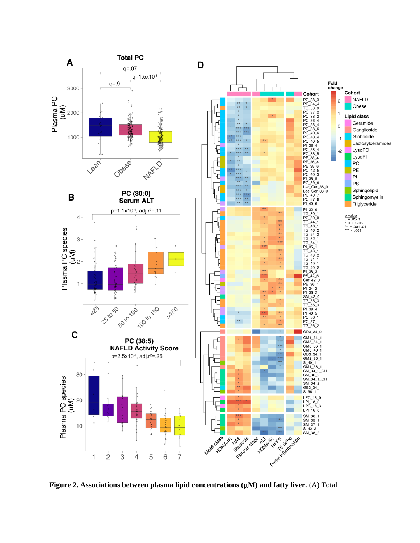

**Figure 2. Associations between plasma lipid concentrations (M) and fatty liver.** (A) Total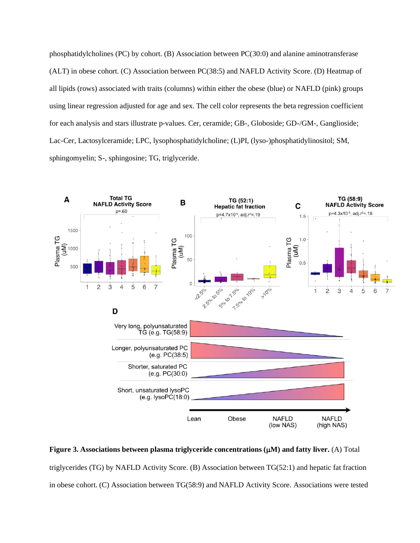phosphatidylcholines (PC) by cohort. (B) Association between PC(30:0) and alanine aminotransferase (ALT) in obese cohort. (C) Association between PC(38:5) and NAFLD Activity Score. (D) Heatmap of all lipids (rows) associated with traits (columns) within either the obese (blue) or NAFLD (pink) groups using linear regression adjusted for age and sex. The cell color represents the beta regression coefficient for each analysis and stars illustrate p-values. Cer, ceramide; GB-, Globoside; GD-/GM-, Ganglioside; Lac-Cer, Lactosylceramide; LPC, lysophosphatidylcholine; (L)PI, (lyso-)phosphatidylinositol; SM, sphingomyelin; S-, sphingosine; TG, triglyceride.



**Figure 3. Associations between plasma triglyceride concentrations (M) and fatty liver.** (A) Total triglycerides (TG) by NAFLD Activity Score. (B) Association between TG(52:1) and hepatic fat fraction in obese cohort. (C) Association between TG(58:9) and NAFLD Activity Score. Associations were tested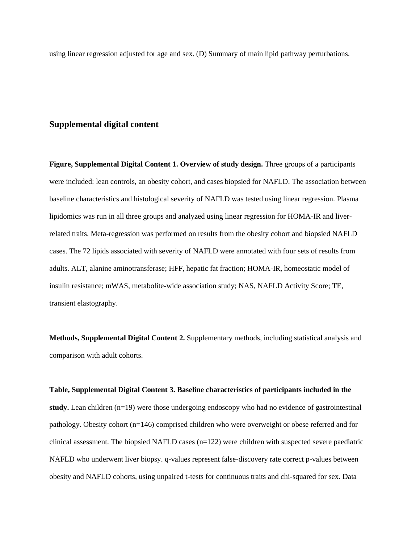using linear regression adjusted for age and sex. (D) Summary of main lipid pathway perturbations.

### **Supplemental digital content**

**Figure, Supplemental Digital Content 1. Overview of study design.** Three groups of a participants were included: lean controls, an obesity cohort, and cases biopsied for NAFLD. The association between baseline characteristics and histological severity of NAFLD was tested using linear regression. Plasma lipidomics was run in all three groups and analyzed using linear regression for HOMA-IR and liverrelated traits. Meta-regression was performed on results from the obesity cohort and biopsied NAFLD cases. The 72 lipids associated with severity of NAFLD were annotated with four sets of results from adults. ALT, alanine aminotransferase; HFF, hepatic fat fraction; HOMA-IR, homeostatic model of insulin resistance; mWAS, metabolite-wide association study; NAS, NAFLD Activity Score; TE, transient elastography.

**Methods, Supplemental Digital Content 2.** Supplementary methods, including statistical analysis and comparison with adult cohorts.

### **Table, Supplemental Digital Content 3. Baseline characteristics of participants included in the**

**study.** Lean children (n=19) were those undergoing endoscopy who had no evidence of gastrointestinal pathology. Obesity cohort (n=146) comprised children who were overweight or obese referred and for clinical assessment. The biopsied NAFLD cases (n=122) were children with suspected severe paediatric NAFLD who underwent liver biopsy. q-values represent false-discovery rate correct p-values between obesity and NAFLD cohorts, using unpaired t-tests for continuous traits and chi-squared for sex. Data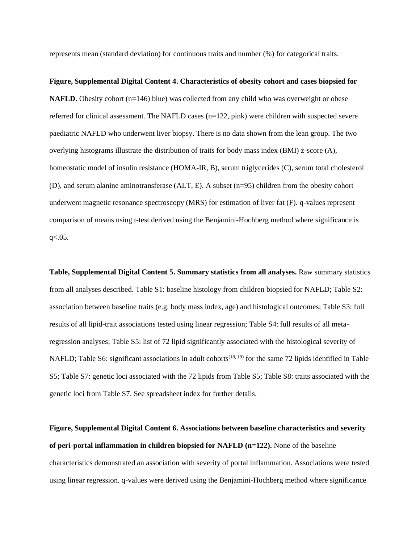represents mean (standard deviation) for continuous traits and number (%) for categorical traits.

**Figure, Supplemental Digital Content 4. Characteristics of obesity cohort and cases biopsied for NAFLD.** Obesity cohort (n=146) blue) was collected from any child who was overweight or obese referred for clinical assessment. The NAFLD cases (n=122, pink) were children with suspected severe paediatric NAFLD who underwent liver biopsy. There is no data shown from the lean group. The two overlying histograms illustrate the distribution of traits for body mass index (BMI) z-score (A), homeostatic model of insulin resistance (HOMA-IR, B), serum triglycerides (C), serum total cholesterol (D), and serum alanine aminotransferase (ALT, E). A subset (n=95) children from the obesity cohort underwent magnetic resonance spectroscopy (MRS) for estimation of liver fat (F). q-values represent comparison of means using t-test derived using the Benjamini-Hochberg method where significance is  $q<.05$ .

**Table, Supplemental Digital Content 5. Summary statistics from all analyses.** Raw summary statistics from all analyses described. Table S1: baseline histology from children biopsied for NAFLD; Table S2: association between baseline traits (e.g. body mass index, age) and histological outcomes; Table S3: full results of all lipid-trait associations tested using linear regression; Table S4: full results of all metaregression analyses; Table S5: list of 72 lipid significantly associated with the histological severity of NAFLD; Table S6: significant associations in adult cohorts<sup>(18, 19)</sup> for the same 72 lipids identified in Table S5; Table S7: genetic loci associated with the 72 lipids from Table S5; Table S8: traits associated with the genetic loci from Table S7. See spreadsheet index for further details.

**Figure, Supplemental Digital Content 6. Associations between baseline characteristics and severity of peri-portal inflammation in children biopsied for NAFLD (n=122).** None of the baseline characteristics demonstrated an association with severity of portal inflammation. Associations were tested using linear regression. q-values were derived using the Benjamini-Hochberg method where significance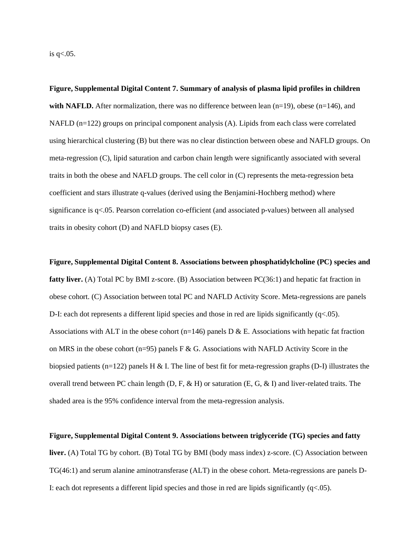is q<.05.

**Figure, Supplemental Digital Content 7. Summary of analysis of plasma lipid profiles in children with NAFLD.** After normalization, there was no difference between lean  $(n=19)$ , obese  $(n=146)$ , and NAFLD  $(n=122)$  groups on principal component analysis  $(A)$ . Lipids from each class were correlated using hierarchical clustering (B) but there was no clear distinction between obese and NAFLD groups. On meta-regression (C), lipid saturation and carbon chain length were significantly associated with several traits in both the obese and NAFLD groups. The cell color in (C) represents the meta-regression beta coefficient and stars illustrate q-values (derived using the Benjamini-Hochberg method) where significance is q<.05. Pearson correlation co-efficient (and associated p-values) between all analysed traits in obesity cohort (D) and NAFLD biopsy cases (E).

**Figure, Supplemental Digital Content 8. Associations between phosphatidylcholine (PC) species and fatty liver.** (A) Total PC by BMI z-score. (B) Association between PC(36:1) and hepatic fat fraction in obese cohort. (C) Association between total PC and NAFLD Activity Score. Meta-regressions are panels D-I: each dot represents a different lipid species and those in red are lipids significantly  $(q<.05)$ . Associations with ALT in the obese cohort (n=146) panels  $D & E$ . Associations with hepatic fat fraction on MRS in the obese cohort (n=95) panels F & G. Associations with NAFLD Activity Score in the biopsied patients (n=122) panels H & I. The line of best fit for meta-regression graphs (D-I) illustrates the overall trend between PC chain length  $(D, F, \& H)$  or saturation  $(E, G, \& I)$  and liver-related traits. The shaded area is the 95% confidence interval from the meta-regression analysis.

#### **Figure, Supplemental Digital Content 9. Associations between triglyceride (TG) species and fatty**

**liver.** (A) Total TG by cohort. (B) Total TG by BMI (body mass index) z-score. (C) Association between TG(46:1) and serum alanine aminotransferase (ALT) in the obese cohort. Meta-regressions are panels D-I: each dot represents a different lipid species and those in red are lipids significantly  $(q<.05)$ .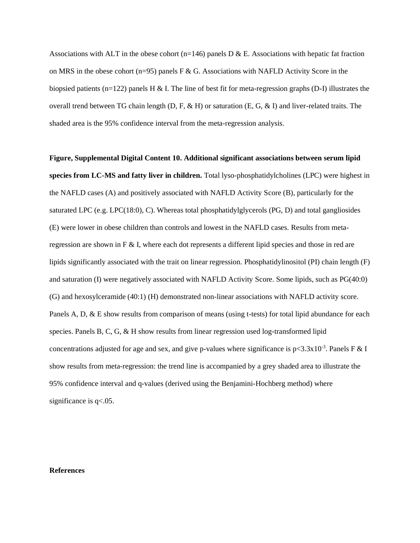Associations with ALT in the obese cohort (n=146) panels  $D \& E$ . Associations with hepatic fat fraction on MRS in the obese cohort (n=95) panels F & G. Associations with NAFLD Activity Score in the biopsied patients (n=122) panels H & I. The line of best fit for meta-regression graphs (D-I) illustrates the overall trend between TG chain length  $(D, F, \& H)$  or saturation  $(E, G, \& I)$  and liver-related traits. The shaded area is the 95% confidence interval from the meta-regression analysis.

**Figure, Supplemental Digital Content 10. Additional significant associations between serum lipid species from LC-MS and fatty liver in children.** Total lyso-phosphatidylcholines (LPC) were highest in the NAFLD cases (A) and positively associated with NAFLD Activity Score (B), particularly for the saturated LPC (e.g. LPC(18:0), C). Whereas total phosphatidylglycerols (PG, D) and total gangliosides (E) were lower in obese children than controls and lowest in the NAFLD cases. Results from metaregression are shown in F & I, where each dot represents a different lipid species and those in red are lipids significantly associated with the trait on linear regression. Phosphatidylinositol (PI) chain length (F) and saturation (I) were negatively associated with NAFLD Activity Score. Some lipids, such as PG(40:0) (G) and hexosylceramide (40:1) (H) demonstrated non-linear associations with NAFLD activity score. Panels A, D, & E show results from comparison of means (using t-tests) for total lipid abundance for each species. Panels B, C, G, & H show results from linear regression used log-transformed lipid concentrations adjusted for age and sex, and give p-values where significance is  $p < 3.3x10^{-3}$ . Panels F & I show results from meta-regression: the trend line is accompanied by a grey shaded area to illustrate the 95% confidence interval and q-values (derived using the Benjamini-Hochberg method) where significance is  $q<.05$ .

### **References**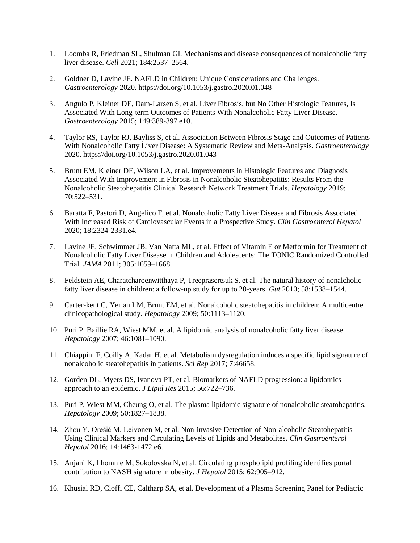- 1. Loomba R, Friedman SL, Shulman GI. Mechanisms and disease consequences of nonalcoholic fatty liver disease. *Cell* 2021; 184:2537–2564.
- 2. Goldner D, Lavine JE. NAFLD in Children: Unique Considerations and Challenges. *Gastroenterology* 2020. https://doi.org/10.1053/j.gastro.2020.01.048
- 3. Angulo P, Kleiner DE, Dam-Larsen S, et al. Liver Fibrosis, but No Other Histologic Features, Is Associated With Long-term Outcomes of Patients With Nonalcoholic Fatty Liver Disease. *Gastroenterology* 2015; 149:389-397.e10.
- 4. Taylor RS, Taylor RJ, Bayliss S, et al. Association Between Fibrosis Stage and Outcomes of Patients With Nonalcoholic Fatty Liver Disease: A Systematic Review and Meta-Analysis. *Gastroenterology* 2020. https://doi.org/10.1053/j.gastro.2020.01.043
- 5. Brunt EM, Kleiner DE, Wilson LA, et al. Improvements in Histologic Features and Diagnosis Associated With Improvement in Fibrosis in Nonalcoholic Steatohepatitis: Results From the Nonalcoholic Steatohepatitis Clinical Research Network Treatment Trials. *Hepatology* 2019; 70:522–531.
- 6. Baratta F, Pastori D, Angelico F, et al. Nonalcoholic Fatty Liver Disease and Fibrosis Associated With Increased Risk of Cardiovascular Events in a Prospective Study. *Clin Gastroenterol Hepatol* 2020; 18:2324-2331.e4.
- 7. Lavine JE, Schwimmer JB, Van Natta ML, et al. Effect of Vitamin E or Metformin for Treatment of Nonalcoholic Fatty Liver Disease in Children and Adolescents: The TONIC Randomized Controlled Trial. *JAMA* 2011; 305:1659–1668.
- 8. Feldstein AE, Charatcharoenwitthaya P, Treeprasertsuk S, et al. The natural history of nonalcholic fatty liver disease in children: a follow-up study for up to 20-years. *Gut* 2010; 58:1538–1544.
- 9. Carter-kent C, Yerian LM, Brunt EM, et al. Nonalcoholic steatohepatitis in children: A multicentre clinicopathological study. *Hepatology* 2009; 50:1113–1120.
- 10. Puri P, Baillie RA, Wiest MM, et al. A lipidomic analysis of nonalcoholic fatty liver disease. *Hepatology* 2007; 46:1081–1090.
- 11. Chiappini F, Coilly A, Kadar H, et al. Metabolism dysregulation induces a specific lipid signature of nonalcoholic steatohepatitis in patients. *Sci Rep* 2017; 7:46658.
- 12. Gorden DL, Myers DS, Ivanova PT, et al. Biomarkers of NAFLD progression: a lipidomics approach to an epidemic. *J Lipid Res* 2015; 56:722–736.
- 13. Puri P, Wiest MM, Cheung O, et al. The plasma lipidomic signature of nonalcoholic steatohepatitis. *Hepatology* 2009; 50:1827–1838.
- 14. Zhou Y, Orešič M, Leivonen M, et al. Non-invasive Detection of Non-alcoholic Steatohepatitis Using Clinical Markers and Circulating Levels of Lipids and Metabolites. *Clin Gastroenterol Hepatol* 2016; 14:1463-1472.e6.
- 15. Anjani K, Lhomme M, Sokolovska N, et al. Circulating phospholipid profiling identifies portal contribution to NASH signature in obesity. *J Hepatol* 2015; 62:905–912.
- 16. Khusial RD, Cioffi CE, Caltharp SA, et al. Development of a Plasma Screening Panel for Pediatric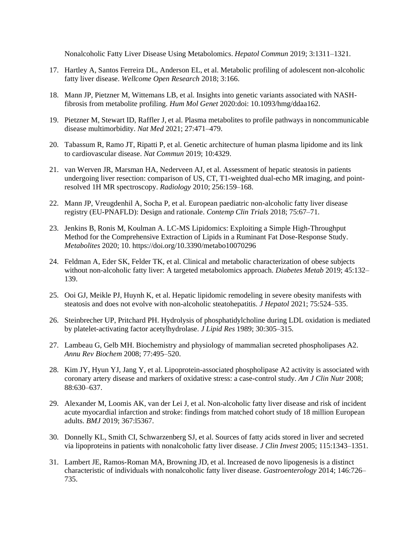Nonalcoholic Fatty Liver Disease Using Metabolomics. *Hepatol Commun* 2019; 3:1311–1321.

- 17. Hartley A, Santos Ferreira DL, Anderson EL, et al. Metabolic profiling of adolescent non-alcoholic fatty liver disease. *Wellcome Open Research* 2018; 3:166.
- 18. Mann JP, Pietzner M, Wittemans LB, et al. Insights into genetic variants associated with NASHfibrosis from metabolite profiling. *Hum Mol Genet* 2020:doi: 10.1093/hmg/ddaa162.
- 19. Pietzner M, Stewart ID, Raffler J, et al. Plasma metabolites to profile pathways in noncommunicable disease multimorbidity. *Nat Med* 2021; 27:471–479.
- 20. Tabassum R, Ramo JT, Ripatti P, et al. Genetic architecture of human plasma lipidome and its link to cardiovascular disease. *Nat Commun* 2019; 10:4329.
- 21. van Werven JR, Marsman HA, Nederveen AJ, et al. Assessment of hepatic steatosis in patients undergoing liver resection: comparison of US, CT, T1-weighted dual-echo MR imaging, and pointresolved 1H MR spectroscopy. *Radiology* 2010; 256:159–168.
- 22. Mann JP, Vreugdenhil A, Socha P, et al. European paediatric non-alcoholic fatty liver disease registry (EU-PNAFLD): Design and rationale. *Contemp Clin Trials* 2018; 75:67–71.
- 23. Jenkins B, Ronis M, Koulman A. LC-MS Lipidomics: Exploiting a Simple High-Throughput Method for the Comprehensive Extraction of Lipids in a Ruminant Fat Dose-Response Study. *Metabolites* 2020; 10. https://doi.org/10.3390/metabo10070296
- 24. Feldman A, Eder SK, Felder TK, et al. Clinical and metabolic characterization of obese subjects without non-alcoholic fatty liver: A targeted metabolomics approach. *Diabetes Metab* 2019; 45:132– 139.
- 25. Ooi GJ, Meikle PJ, Huynh K, et al. Hepatic lipidomic remodeling in severe obesity manifests with steatosis and does not evolve with non-alcoholic steatohepatitis. *J Hepatol* 2021; 75:524–535.
- 26. Steinbrecher UP, Pritchard PH. Hydrolysis of phosphatidylcholine during LDL oxidation is mediated by platelet-activating factor acetylhydrolase. *J Lipid Res* 1989; 30:305–315.
- 27. Lambeau G, Gelb MH. Biochemistry and physiology of mammalian secreted phospholipases A2. *Annu Rev Biochem* 2008; 77:495–520.
- 28. Kim JY, Hyun YJ, Jang Y, et al. Lipoprotein-associated phospholipase A2 activity is associated with coronary artery disease and markers of oxidative stress: a case-control study. *Am J Clin Nutr* 2008; 88:630–637.
- 29. Alexander M, Loomis AK, van der Lei J, et al. Non-alcoholic fatty liver disease and risk of incident acute myocardial infarction and stroke: findings from matched cohort study of 18 million European adults. *BMJ* 2019; 367:l5367.
- 30. Donnelly KL, Smith CI, Schwarzenberg SJ, et al. Sources of fatty acids stored in liver and secreted via lipoproteins in patients with nonalcoholic fatty liver disease. *J Clin Invest* 2005; 115:1343–1351.
- 31. Lambert JE, Ramos-Roman MA, Browning JD, et al. Increased de novo lipogenesis is a distinct characteristic of individuals with nonalcoholic fatty liver disease. *Gastroenterology* 2014; 146:726– 735.